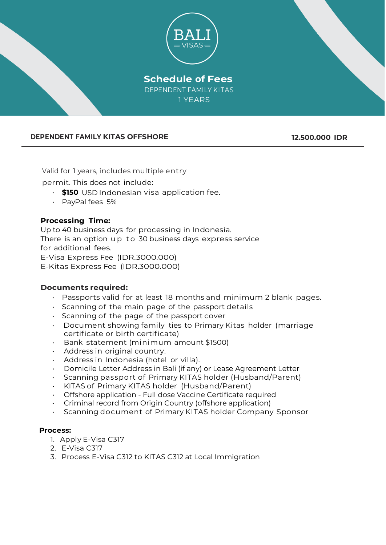

# **DEPENDENT FAMILY KITAS OFFSHORE 12.500.000 IDR**

Valid for 1 years, includes multiple entry

permit. This does not include:

- **\$150** USD Indonesian visa application fee.
- PayPal fees 5%

# **Processing Time:**

Up to 40 business days for processing in Indonesia. There is an option up to 30 business days express service for additional fees. E-Visa Express Fee (IDR.3000.000) E-Kitas Express Fee (IDR.3000.000)

#### **Documents required:**

- Passports valid for at least 18 months and minimum 2 blank pages.
- Scanning of the main page of the passport details
- Scanning of the page of the passport cover
- Document showing family ties to Primary Kitas holder (marriage certificate or birth certificate)
- Bank statement (minimum amount \$1500)
- Address in original country.
- Address in Indonesia (hotel or villa).
- Domicile Letter Address in Bali (if any) or Lease Agreement Letter
- Scanning passport of Primary KITAS holder (Husband/Parent)
- KITAS of Primary KITAS holder (Husband/Parent)
- Offshore application Full dose Vaccine Certificate required
- Criminal record from Origin Country (offshore application)
- Scanning document of Primary KITAS holder Company Sponsor

#### **Process:**

- 1. Apply E-Visa C317
- 2. E-Visa C317
- 3. Process E-Visa C312 to KITAS C312 at Local Immigration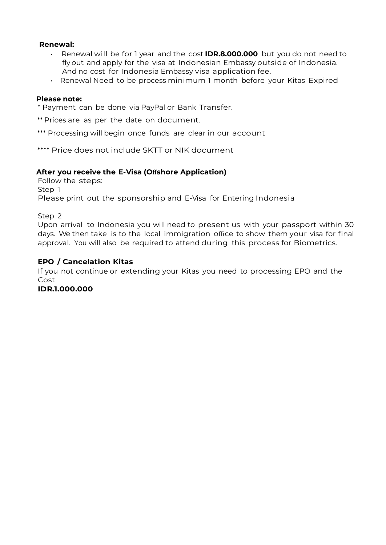## **Renewal:**

- Renewal will be for 1 year and the cost **IDR.8.000.000** but you do not need to fly out and apply for the visa at Indonesian Embassy outside of Indonesia. And no cost for Indonesia Embassy visa application fee.
- Renewal Need to be process minimum 1 month before your Kitas Expired

#### **Please note:**

\* Payment can be done via PayPal or Bank Transfer.

\*\* Prices are as per the date on document.

\*\*\* Processing will begin once funds are clear in our account

\*\*\*\* Price does not include SKTT or NIK document

#### **After you receive the E-Visa (Offshore Application)**

Follow the steps: Step 1 Please print out the sponsorship and E-Visa for Entering Indonesia

Step 2

Upon arrival to Indonesia you will need to present us with your passport within 30 days. We then take is to the local immigration office to show them your visa for final approval. You will also be required to attend during this process for Biometrics.

#### **EPO / Cancelation Kitas**

If you not continue or extending your Kitas you need to processing EPO and the Cost

#### **IDR.1.000.000**